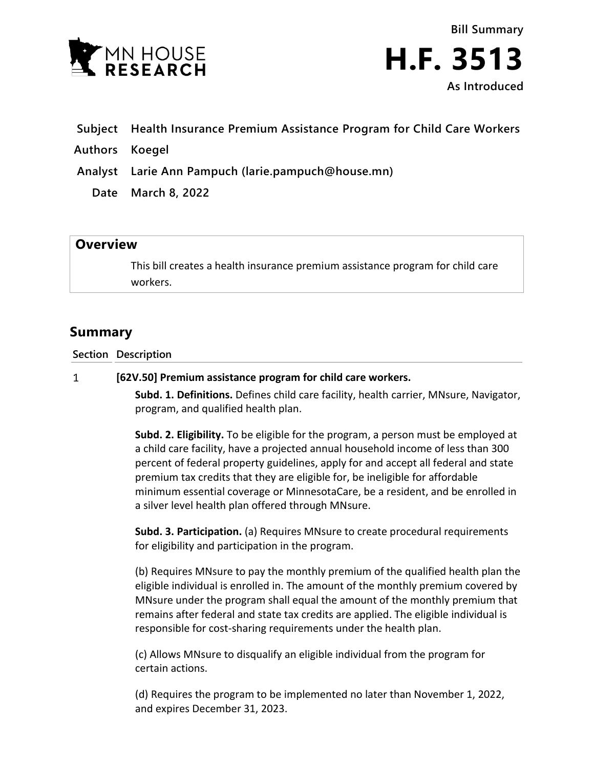

**Bill Summary H.F. 3513 As Introduced**

- **Subject Health Insurance Premium Assistance Program for Child Care Workers**
- **Authors Koegel**
- **Analyst Larie Ann Pampuch (larie.pampuch@house.mn)**
	- **Date March 8, 2022**

## **Overview**

This bill creates a health insurance premium assistance program for child care workers.

## **Summary**

**Section Description**

## $\mathbf{1}$ **[62V.50] Premium assistance program for child care workers.**

**Subd. 1. Definitions.** Defines child care facility, health carrier, MNsure, Navigator, program, and qualified health plan.

**Subd. 2. Eligibility.** To be eligible for the program, a person must be employed at a child care facility, have a projected annual household income of less than 300 percent of federal property guidelines, apply for and accept all federal and state premium tax credits that they are eligible for, be ineligible for affordable minimum essential coverage or MinnesotaCare, be a resident, and be enrolled in a silver level health plan offered through MNsure.

**Subd. 3. Participation.** (a) Requires MNsure to create procedural requirements for eligibility and participation in the program.

(b) Requires MNsure to pay the monthly premium of the qualified health plan the eligible individual is enrolled in. The amount of the monthly premium covered by MNsure under the program shall equal the amount of the monthly premium that remains after federal and state tax credits are applied. The eligible individual is responsible for cost-sharing requirements under the health plan.

(c) Allows MNsure to disqualify an eligible individual from the program for certain actions.

(d) Requires the program to be implemented no later than November 1, 2022, and expires December 31, 2023.